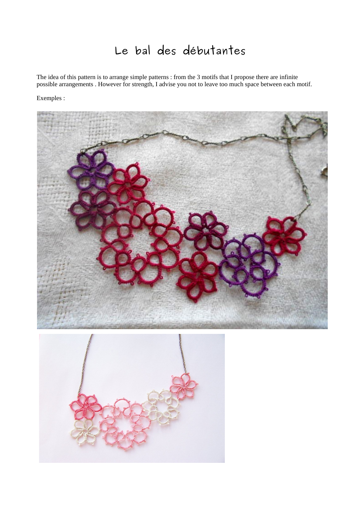## **Le bal des débutantes**

The idea of this pattern is to arrange simple patterns : from the 3 motifs that I propose there are infinite possible arrangements . However for strength, I advise you not to leave too much space between each motif.

Exemples :

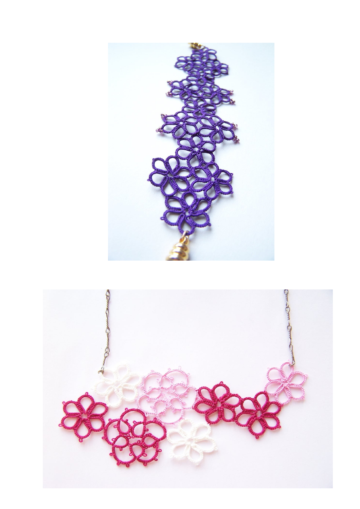

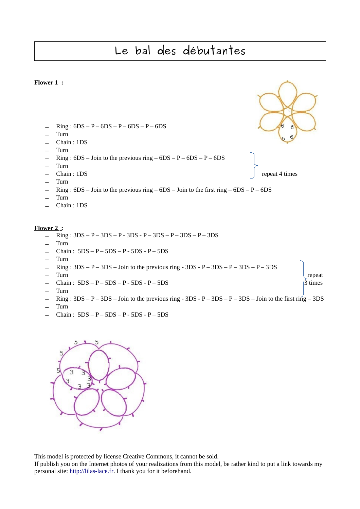## **Le bal des débutantes**

## **Flower 1 :**



 $-$  Chain :  $5DS - P - 5DS - P - 5DS - P - 5DS$ 



This model is protected by license Creative Commons, it cannot be sold.

If publish you on the Internet photos of your realizations from this model, be rather kind to put a link towards my personal site: http://lilas-lace.fr. I thank you for it beforehand.